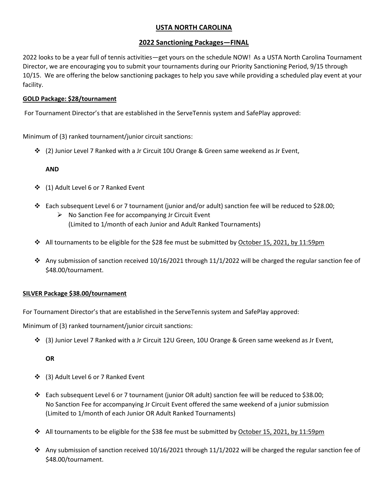# **USTA NORTH CAROLINA**

## **2022 Sanctioning Packages—FINAL**

2022 looks to be a year full of tennis activities—get yours on the schedule NOW! As a USTA North Carolina Tournament Director, we are encouraging you to submit your tournaments during our Priority Sanctioning Period, 9/15 through 10/15. We are offering the below sanctioning packages to help you save while providing a scheduled play event at your facility.

### **GOLD Package: \$28/tournament**

For Tournament Director's that are established in the ServeTennis system and SafePlay approved:

Minimum of (3) ranked tournament/junior circuit sanctions:

❖ (2) Junior Level 7 Ranked with a Jr Circuit 10U Orange & Green same weekend as Jr Event,

### **AND**

- ❖ (1) Adult Level 6 or 7 Ranked Event
- ❖ Each subsequent Level 6 or 7 tournament (junior and/or adult) sanction fee will be reduced to \$28.00;
	- ➢ No Sanction Fee for accompanying Jr Circuit Event (Limited to 1/month of each Junior and Adult Ranked Tournaments)
- ❖ All tournaments to be eligible for the \$28 fee must be submitted by October 15, 2021, by 11:59pm
- ❖ Any submission of sanction received 10/16/2021 through 11/1/2022 will be charged the regular sanction fee of \$48.00/tournament.

## **SILVER Package \$38.00/tournament**

For Tournament Director's that are established in the ServeTennis system and SafePlay approved:

Minimum of (3) ranked tournament/junior circuit sanctions:

❖ (3) Junior Level 7 Ranked with a Jr Circuit 12U Green, 10U Orange & Green same weekend as Jr Event,

#### **OR**

- ❖ (3) Adult Level 6 or 7 Ranked Event
- ❖ Each subsequent Level 6 or 7 tournament (junior OR adult) sanction fee will be reduced to \$38.00; No Sanction Fee for accompanying Jr Circuit Event offered the same weekend of a junior submission (Limited to 1/month of each Junior OR Adult Ranked Tournaments)
- ❖ All tournaments to be eligible for the \$38 fee must be submitted by October 15, 2021, by 11:59pm
- ◆ Any submission of sanction received 10/16/2021 through 11/1/2022 will be charged the regular sanction fee of \$48.00/tournament.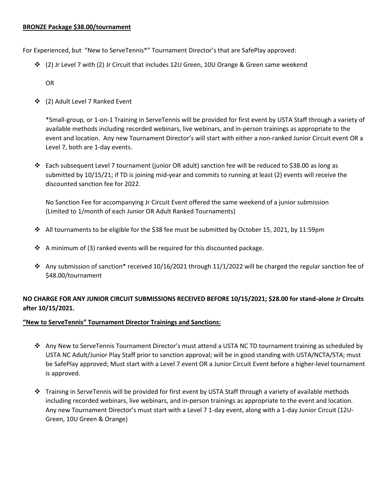For Experienced, but "New to ServeTennis\*" Tournament Director's that are SafePlay approved:

❖ (2) Jr Level 7 with (2) Jr Circuit that includes 12U Green, 10U Orange & Green same weekend

OR

❖ (2) Adult Level 7 Ranked Event

\*Small-group, or 1-on-1 Training in ServeTennis will be provided for first event by USTA Staff through a variety of available methods including recorded webinars, live webinars, and in-person trainings as appropriate to the event and location. Any new Tournament Director's will start with either a non-ranked Junior Circuit event OR a Level 7, both are 1-day events.

❖ Each subsequent Level 7 tournament (junior OR adult) sanction fee will be reduced to \$38.00 as long as submitted by 10/15/21; if TD is joining mid-year and commits to running at least (2) events will receive the discounted sanction fee for 2022.

No Sanction Fee for accompanying Jr Circuit Event offered the same weekend of a junior submission (Limited to 1/month of each Junior OR Adult Ranked Tournaments)

- ❖ All tournaments to be eligible for the \$38 fee must be submitted by October 15, 2021, by 11:59pm
- ◆ A minimum of (3) ranked events will be required for this discounted package.
- $\dots$  Any submission of sanction\* received 10/16/2021 through 11/1/2022 will be charged the regular sanction fee of \$48.00/tournament

# **NO CHARGE FOR ANY JUNIOR CIRCUIT SUBMISSIONS RECEIVED BEFORE 10/15/2021; \$28.00 for stand-alone Jr Circuits after 10/15/2021.**

## **"New to ServeTennis" Tournament Director Trainings and Sanctions:**

- ❖ Any New to ServeTennis Tournament Director's must attend a USTA NC TD tournament training as scheduled by USTA NC Adult/Junior Play Staff prior to sanction approval; will be in good standing with USTA/NCTA/STA; must be SafePlay approved; Must start with a Level 7 event OR a Junior Circuit Event before a higher-level tournament is approved.
- ❖ Training in ServeTennis will be provided for first event by USTA Staff through a variety of available methods including recorded webinars, live webinars, and in-person trainings as appropriate to the event and location. Any new Tournament Director's must start with a Level 7 1-day event, along with a 1-day Junior Circuit (12U-Green, 10U Green & Orange)